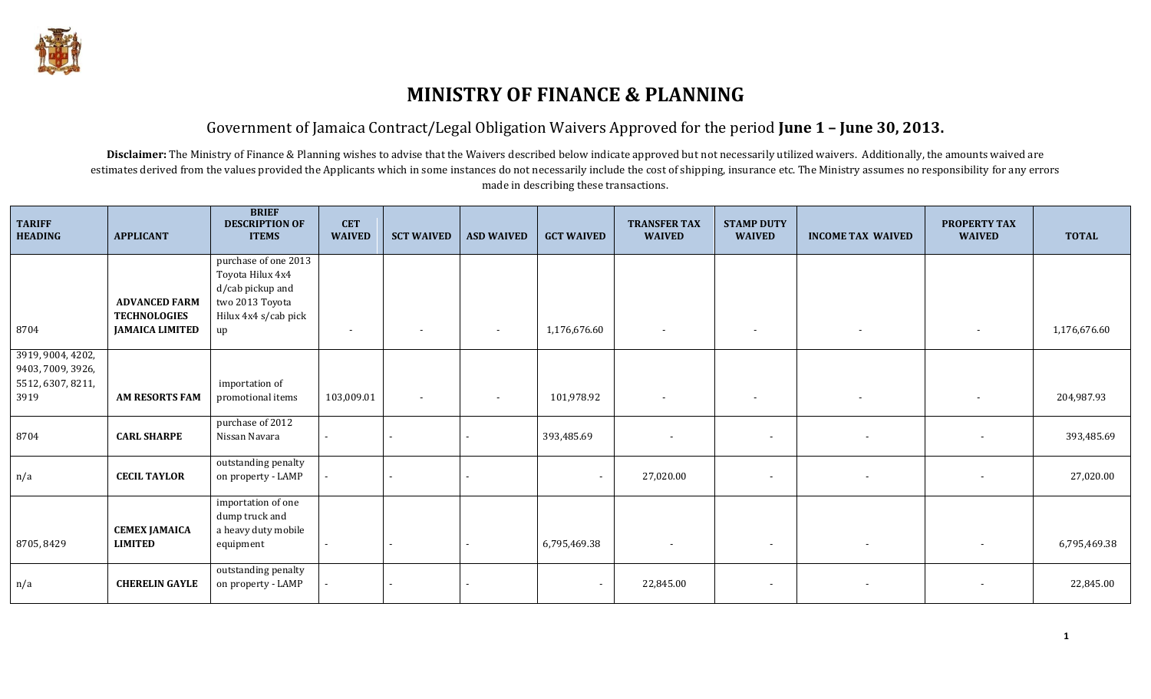

### Government of Jamaica Contract/Legal Obligation Waivers Approved for the period **June 1 – June 30, 2013.**

Disclaimer: The Ministry of Finance & Planning wishes to advise that the Waivers described below indicate approved but not necessarily utilized waivers. Additionally, the amounts waived are estimates derived from the values provided the Applicants which in some instances do not necessarily include the cost of shipping, insurance etc. The Ministry assumes no responsibility for any errors made in describing these transactions.

| <b>TARIFF</b><br><b>HEADING</b>        | <b>APPLICANT</b>       | <b>BRIEF</b><br><b>DESCRIPTION OF</b><br><b>ITEMS</b>       | <b>CET</b><br><b>WAIVED</b> | <b>SCT WAIVED</b>        | <b>ASD WAIVED</b> | <b>GCT WAIVED</b>        | <b>TRANSFER TAX</b><br><b>WAIVED</b> | <b>STAMP DUTY</b><br><b>WAIVED</b> | <b>INCOME TAX WAIVED</b> | <b>PROPERTY TAX</b><br><b>WAIVED</b> | <b>TOTAL</b> |
|----------------------------------------|------------------------|-------------------------------------------------------------|-----------------------------|--------------------------|-------------------|--------------------------|--------------------------------------|------------------------------------|--------------------------|--------------------------------------|--------------|
|                                        |                        | purchase of one 2013<br>Toyota Hilux 4x4                    |                             |                          |                   |                          |                                      |                                    |                          |                                      |              |
|                                        |                        | d/cab pickup and                                            |                             |                          |                   |                          |                                      |                                    |                          |                                      |              |
|                                        | <b>ADVANCED FARM</b>   | two 2013 Toyota                                             |                             |                          |                   |                          |                                      |                                    |                          |                                      |              |
|                                        | <b>TECHNOLOGIES</b>    | Hilux 4x4 s/cab pick                                        |                             |                          |                   |                          |                                      |                                    |                          |                                      |              |
| 8704                                   | <b>JAMAICA LIMITED</b> | up                                                          | $\overline{\phantom{a}}$    | $\overline{\phantom{a}}$ | $\sim$            | 1,176,676.60             | $\sim$                               | $\overline{\phantom{a}}$           | $\sim$                   | $\sim$                               | 1,176,676.60 |
| 3919, 9004, 4202,<br>9403, 7009, 3926, |                        |                                                             |                             |                          |                   |                          |                                      |                                    |                          |                                      |              |
| 5512, 6307, 8211,<br>3919              | <b>AM RESORTS FAM</b>  | importation of<br>promotional items                         | 103,009.01                  | $\overline{\phantom{a}}$ | $\sim$            | 101,978.92               | $\sim$                               | $\overline{\phantom{a}}$           | $\sim$                   | $\sim$                               | 204,987.93   |
|                                        |                        | purchase of 2012                                            |                             |                          |                   |                          |                                      |                                    |                          |                                      |              |
| 8704                                   | <b>CARL SHARPE</b>     | Nissan Navara                                               |                             | $\sim$                   |                   | 393,485.69               |                                      |                                    | $\overline{\phantom{a}}$ | $\sim$                               | 393,485.69   |
| n/a                                    | <b>CECIL TAYLOR</b>    | outstanding penalty<br>on property - LAMP                   |                             | $\blacksquare$           |                   | $\blacksquare$           | 27,020.00                            | $\sim$                             |                          | $\sim$                               | 27,020.00    |
|                                        | <b>CEMEX JAMAICA</b>   | importation of one<br>dump truck and<br>a heavy duty mobile |                             |                          |                   |                          |                                      |                                    |                          |                                      |              |
| 8705, 8429                             | <b>LIMITED</b>         | equipment                                                   | $\sim$                      | $\sim$                   |                   | 6,795,469.38             | $\blacksquare$                       | $\sim$                             | $\overline{\phantom{a}}$ | $\sim$                               | 6,795,469.38 |
| n/a                                    | <b>CHERELIN GAYLE</b>  | outstanding penalty<br>on property - LAMP                   |                             | $\blacksquare$           |                   | $\overline{\phantom{a}}$ | 22,845.00                            | $\sim$                             |                          |                                      | 22,845.00    |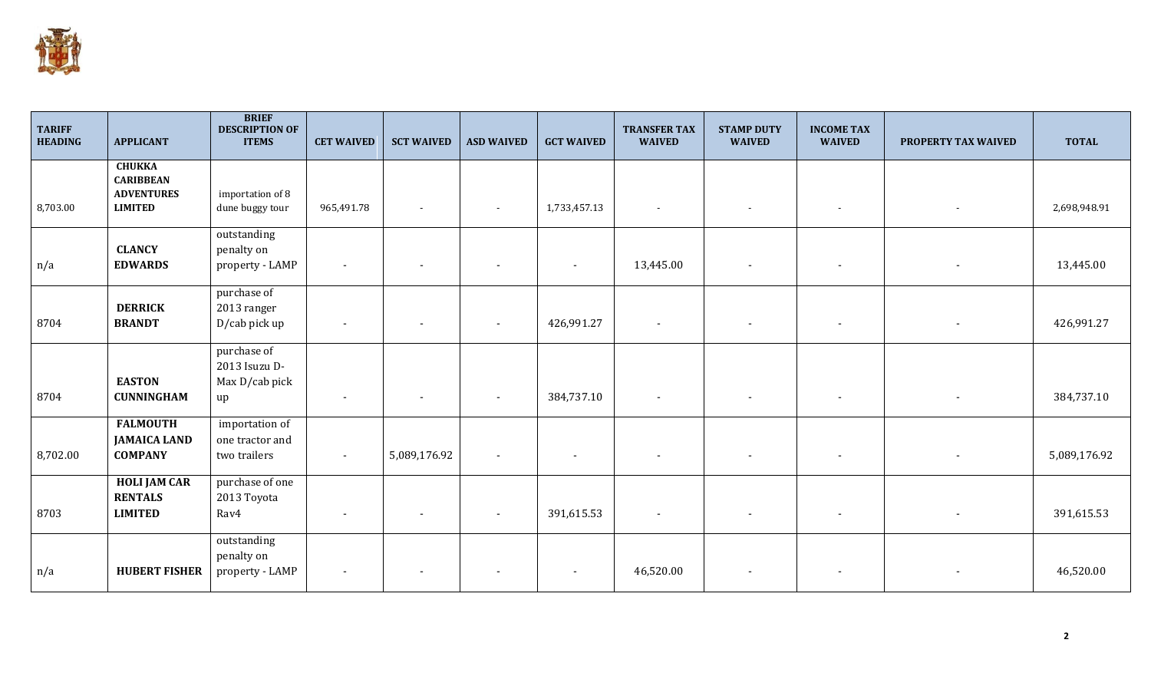

| <b>TARIFF</b><br><b>HEADING</b> | <b>APPLICANT</b>                                                         | <b>BRIEF</b><br><b>DESCRIPTION OF</b><br><b>ITEMS</b> | <b>CET WAIVED</b>        | <b>SCT WAIVED</b>        | <b>ASD WAIVED</b> | <b>GCT WAIVED</b> | <b>TRANSFER TAX</b><br><b>WAIVED</b> | <b>STAMP DUTY</b><br><b>WAIVED</b> | <b>INCOME TAX</b><br><b>WAIVED</b> | PROPERTY TAX WAIVED | <b>TOTAL</b> |
|---------------------------------|--------------------------------------------------------------------------|-------------------------------------------------------|--------------------------|--------------------------|-------------------|-------------------|--------------------------------------|------------------------------------|------------------------------------|---------------------|--------------|
| 8,703.00                        | <b>CHUKKA</b><br><b>CARIBBEAN</b><br><b>ADVENTURES</b><br><b>LIMITED</b> | importation of 8<br>dune buggy tour                   | 965,491.78               | $\overline{\phantom{a}}$ |                   | 1,733,457.13      | $\overline{\phantom{a}}$             | $\blacksquare$                     |                                    |                     | 2,698,948.91 |
| n/a                             | <b>CLANCY</b><br><b>EDWARDS</b>                                          | outstanding<br>penalty on<br>property - LAMP          | $\overline{\phantom{a}}$ | $\overline{\phantom{a}}$ |                   |                   | 13,445.00                            | $\overline{\phantom{a}}$           |                                    |                     | 13,445.00    |
| 8704                            | <b>DERRICK</b><br><b>BRANDT</b>                                          | purchase of<br>2013 ranger<br>D/cab pick up           | $\overline{\phantom{a}}$ | $\overline{\phantom{a}}$ |                   | 426,991.27        | $\overline{\phantom{a}}$             |                                    |                                    |                     | 426,991.27   |
| 8704                            | <b>EASTON</b><br><b>CUNNINGHAM</b>                                       | purchase of<br>2013 Isuzu D-<br>Max D/cab pick<br>up  | $\overline{\phantom{a}}$ | $\overline{\phantom{a}}$ |                   | 384,737.10        | $\sim$                               | $\overline{\phantom{a}}$           |                                    |                     | 384,737.10   |
| 8,702.00                        | <b>FALMOUTH</b><br><b>JAMAICA LAND</b><br><b>COMPANY</b>                 | importation of<br>one tractor and<br>two trailers     | $\blacksquare$           | 5,089,176.92             |                   |                   |                                      |                                    |                                    |                     | 5,089,176.92 |
| 8703                            | <b>HOLI JAM CAR</b><br><b>RENTALS</b><br><b>LIMITED</b>                  | purchase of one<br>2013 Toyota<br>Rav4                | $\overline{\phantom{a}}$ |                          |                   | 391,615.53        | $\overline{\phantom{a}}$             |                                    |                                    |                     | 391,615.53   |
| n/a                             | <b>HUBERT FISHER</b>                                                     | outstanding<br>penalty on<br>property - LAMP          | $\overline{\phantom{a}}$ |                          |                   |                   | 46,520.00                            |                                    |                                    |                     | 46,520.00    |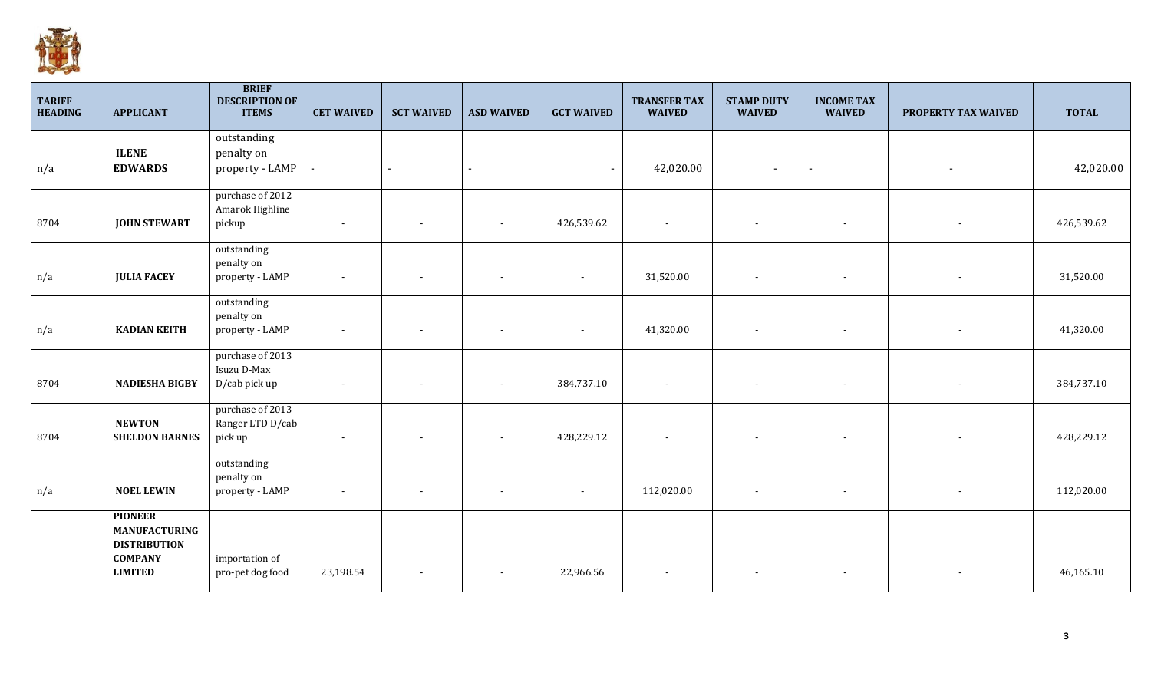

| <b>TARIFF</b><br><b>HEADING</b> | <b>APPLICANT</b>                       | <b>BRIEF</b><br><b>DESCRIPTION OF</b><br><b>ITEMS</b> | <b>CET WAIVED</b> | <b>SCT WAIVED</b>        | <b>ASD WAIVED</b>        | <b>GCT WAIVED</b> | <b>TRANSFER TAX</b><br><b>WAIVED</b> | <b>STAMP DUTY</b><br><b>WAIVED</b> | <b>INCOME TAX</b><br><b>WAIVED</b> | PROPERTY TAX WAIVED | <b>TOTAL</b> |
|---------------------------------|----------------------------------------|-------------------------------------------------------|-------------------|--------------------------|--------------------------|-------------------|--------------------------------------|------------------------------------|------------------------------------|---------------------|--------------|
|                                 |                                        | outstanding                                           |                   |                          |                          |                   |                                      |                                    |                                    |                     |              |
|                                 | <b>ILENE</b>                           | penalty on                                            |                   |                          |                          |                   |                                      |                                    |                                    |                     |              |
| n/a                             | <b>EDWARDS</b>                         | property - LAMP                                       |                   | $\blacksquare$           | $\overline{\phantom{a}}$ |                   | 42,020.00                            | $\sim$                             | $\blacksquare$                     |                     | 42,020.00    |
|                                 |                                        | purchase of 2012                                      |                   |                          |                          |                   |                                      |                                    |                                    |                     |              |
|                                 |                                        | Amarok Highline                                       |                   |                          |                          |                   |                                      |                                    |                                    |                     |              |
| 8704                            | <b>JOHN STEWART</b>                    | pickup                                                | $\sim$            | $\sim$                   |                          | 426,539.62        |                                      | $\overline{\phantom{a}}$           | $\overline{\phantom{a}}$           |                     | 426,539.62   |
|                                 |                                        | outstanding                                           |                   |                          |                          |                   |                                      |                                    |                                    |                     |              |
|                                 |                                        | penalty on                                            |                   |                          |                          |                   |                                      |                                    |                                    |                     |              |
| n/a                             | <b>JULIA FACEY</b>                     | property - LAMP                                       | $\sim$            |                          |                          | $\sim$            | 31,520.00                            | $\overline{\phantom{a}}$           | $\sim$                             |                     | 31,520.00    |
|                                 |                                        | outstanding                                           |                   |                          |                          |                   |                                      |                                    |                                    |                     |              |
| n/a                             | <b>KADIAN KEITH</b>                    | penalty on<br>property - LAMP                         | $\sim$            |                          |                          | $\sim$            | 41,320.00                            | $\blacksquare$                     | $\sim$                             |                     | 41,320.00    |
|                                 |                                        |                                                       |                   |                          |                          |                   |                                      |                                    |                                    |                     |              |
|                                 |                                        | purchase of 2013                                      |                   |                          |                          |                   |                                      |                                    |                                    |                     |              |
| 8704                            | <b>NADIESHA BIGBY</b>                  | Isuzu D-Max<br>D/cab pick up                          | $\sim$            | $\overline{\phantom{a}}$ | $\overline{\phantom{a}}$ | 384,737.10        | $\sim$                               | $\overline{\phantom{a}}$           | $\sim$                             |                     | 384,737.10   |
|                                 |                                        |                                                       |                   |                          |                          |                   |                                      |                                    |                                    |                     |              |
|                                 |                                        | purchase of 2013                                      |                   |                          |                          |                   |                                      |                                    |                                    |                     |              |
| 8704                            | <b>NEWTON</b><br><b>SHELDON BARNES</b> | Ranger LTD D/cab<br>pick up                           | $\sim$            | $\overline{\phantom{a}}$ | $\sim$                   | 428,229.12        |                                      | $\overline{\phantom{a}}$           | $\sim$                             |                     | 428,229.12   |
|                                 |                                        |                                                       |                   |                          |                          |                   |                                      |                                    |                                    |                     |              |
|                                 |                                        | outstanding                                           |                   |                          |                          |                   |                                      |                                    |                                    |                     |              |
| n/a                             | <b>NOEL LEWIN</b>                      | penalty on<br>property - LAMP                         | $\sim$            |                          |                          | $\sim$            | 112,020.00                           | $\blacksquare$                     | $\sim$                             |                     | 112,020.00   |
|                                 |                                        |                                                       |                   |                          |                          |                   |                                      |                                    |                                    |                     |              |
|                                 | <b>PIONEER</b><br><b>MANUFACTURING</b> |                                                       |                   |                          |                          |                   |                                      |                                    |                                    |                     |              |
|                                 | <b>DISTRIBUTION</b>                    |                                                       |                   |                          |                          |                   |                                      |                                    |                                    |                     |              |
|                                 | <b>COMPANY</b>                         | importation of                                        |                   |                          |                          |                   |                                      |                                    |                                    |                     |              |
|                                 | <b>LIMITED</b>                         | pro-pet dog food                                      | 23,198.54         | $\sim$                   | $\sim$                   | 22,966.56         | $\sim$                               | $\overline{\phantom{a}}$           | $\sim$                             |                     | 46,165.10    |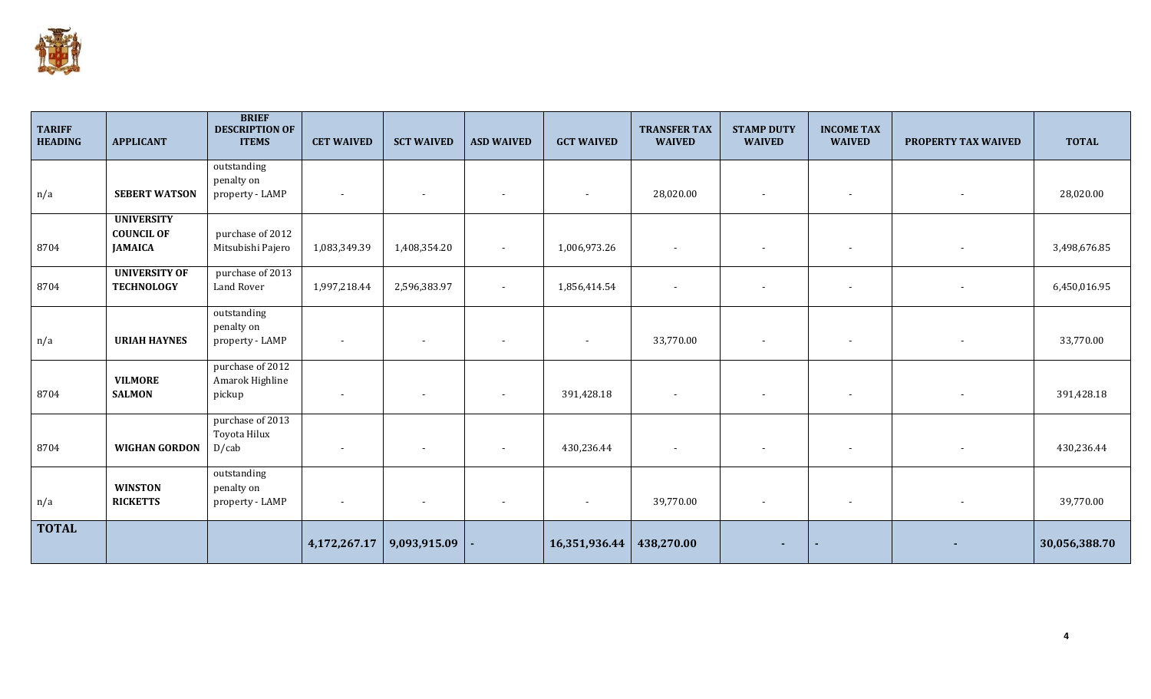

| <b>TARIFF</b><br><b>HEADING</b> | <b>APPLICANT</b>                                         | <b>BRIEF</b><br><b>DESCRIPTION OF</b><br><b>ITEMS</b> | <b>CET WAIVED</b>        | <b>SCT WAIVED</b> | <b>ASD WAIVED</b>        | <b>GCT WAIVED</b> | <b>TRANSFER TAX</b><br><b>WAIVED</b> | <b>STAMP DUTY</b><br><b>WAIVED</b> | <b>INCOME TAX</b><br><b>WAIVED</b> | PROPERTY TAX WAIVED | <b>TOTAL</b>  |
|---------------------------------|----------------------------------------------------------|-------------------------------------------------------|--------------------------|-------------------|--------------------------|-------------------|--------------------------------------|------------------------------------|------------------------------------|---------------------|---------------|
| n/a                             | <b>SEBERT WATSON</b>                                     | outstanding<br>penalty on<br>property - LAMP          |                          |                   |                          |                   | 28,020.00                            |                                    |                                    |                     | 28,020.00     |
| 8704                            | <b>UNIVERSITY</b><br><b>COUNCIL OF</b><br><b>JAMAICA</b> | purchase of 2012<br>Mitsubishi Pajero                 | 1,083,349.39             | 1,408,354.20      | $\overline{\phantom{a}}$ | 1,006,973.26      |                                      |                                    | $\overline{\phantom{a}}$           |                     | 3,498,676.85  |
| 8704                            | <b>UNIVERSITY OF</b><br><b>TECHNOLOGY</b>                | purchase of 2013<br>Land Rover                        | 1,997,218.44             | 2,596,383.97      | $\overline{\phantom{a}}$ | 1,856,414.54      |                                      |                                    |                                    |                     | 6,450,016.95  |
| n/a                             | <b>URIAH HAYNES</b>                                      | outstanding<br>penalty on<br>property - LAMP          | $\overline{\phantom{a}}$ |                   |                          |                   | 33,770.00                            |                                    | $\overline{\phantom{a}}$           |                     | 33,770.00     |
| 8704                            | <b>VILMORE</b><br><b>SALMON</b>                          | purchase of 2012<br>Amarok Highline<br>pickup         |                          |                   | $\blacksquare$           | 391,428.18        |                                      |                                    |                                    |                     | 391,428.18    |
| 8704                            | <b>WIGHAN GORDON</b>                                     | purchase of 2013<br>Toyota Hilux<br>D/cab             |                          |                   | $\blacksquare$           | 430,236.44        |                                      |                                    | $\overline{\phantom{a}}$           |                     | 430,236.44    |
| n/a                             | <b>WINSTON</b><br><b>RICKETTS</b>                        | outstanding<br>penalty on<br>property - LAMP          | $\overline{\phantom{a}}$ |                   |                          |                   | 39,770.00                            |                                    |                                    |                     | 39,770.00     |
| <b>TOTAL</b>                    |                                                          |                                                       | 4,172,267.17             | 9,093,915.09      |                          | 16,351,936.44     | 438,270.00                           |                                    |                                    |                     | 30,056,388.70 |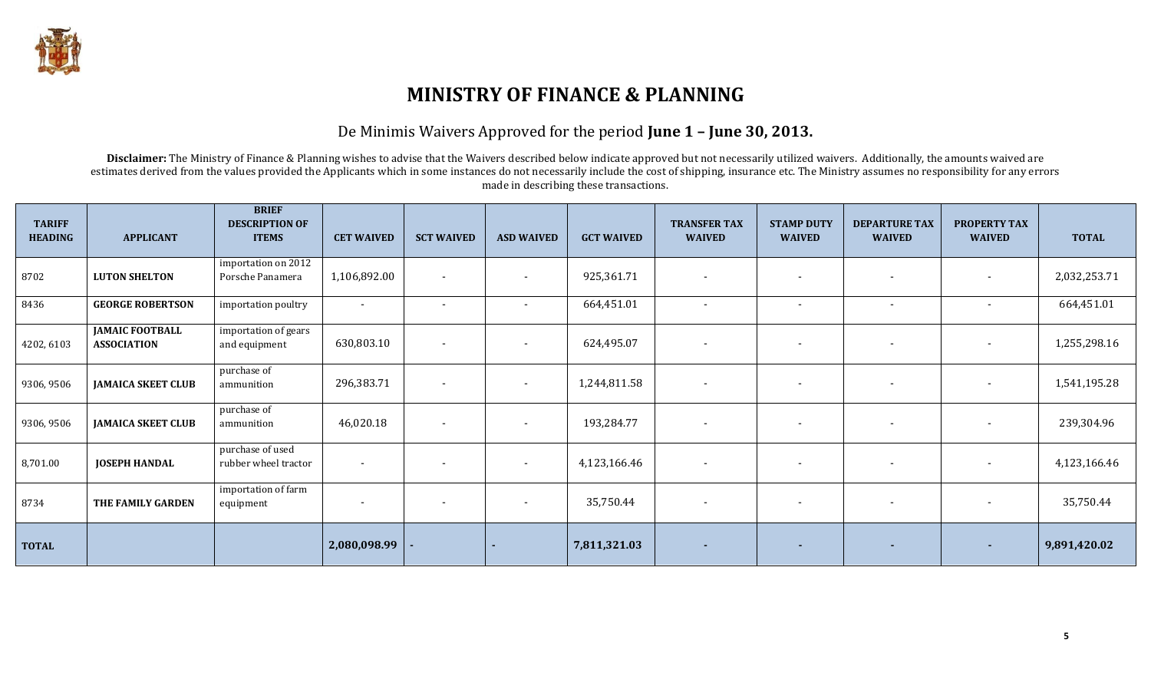

#### De Minimis Waivers Approved for the period **June 1 – June 30, 2013.**

Disclaimer: The Ministry of Finance & Planning wishes to advise that the Waivers described below indicate approved but not necessarily utilized waivers. Additionally, the amounts waived are estimates derived from the values provided the Applicants which in some instances do not necessarily include the cost of shipping, insurance etc. The Ministry assumes no responsibility for any errors made in describing these transactions.

| <b>TARIFF</b><br><b>HEADING</b> | <b>APPLICANT</b>                             | <b>BRIEF</b><br><b>DESCRIPTION OF</b><br><b>ITEMS</b> | <b>CET WAIVED</b>        | <b>SCT WAIVED</b>        | <b>ASD WAIVED</b>        | <b>GCT WAIVED</b> | <b>TRANSFER TAX</b><br><b>WAIVED</b> | <b>STAMP DUTY</b><br><b>WAIVED</b> | <b>DEPARTURE TAX</b><br><b>WAIVED</b> | <b>PROPERTY TAX</b><br><b>WAIVED</b> | <b>TOTAL</b> |
|---------------------------------|----------------------------------------------|-------------------------------------------------------|--------------------------|--------------------------|--------------------------|-------------------|--------------------------------------|------------------------------------|---------------------------------------|--------------------------------------|--------------|
| 8702                            | <b>LUTON SHELTON</b>                         | importation on 2012<br>Porsche Panamera               | 1,106,892.00             | $\blacksquare$           | $\overline{\phantom{a}}$ | 925,361.71        | $\overline{\phantom{a}}$             | $\overline{\phantom{0}}$           | $\blacksquare$                        | $\overline{\phantom{a}}$             | 2,032,253.71 |
| 8436                            | <b>GEORGE ROBERTSON</b>                      | importation poultry                                   | $\overline{\phantom{a}}$ | $\overline{\phantom{a}}$ | $\overline{\phantom{a}}$ | 664,451.01        |                                      | $\overline{\phantom{0}}$           | $\overline{\phantom{a}}$              |                                      | 664,451.01   |
| 4202, 6103                      | <b>JAMAIC FOOTBALL</b><br><b>ASSOCIATION</b> | importation of gears<br>and equipment                 | 630,803.10               | $\overline{\phantom{a}}$ | $\blacksquare$           | 624,495.07        |                                      |                                    | $\overline{\phantom{a}}$              | $\overline{\phantom{a}}$             | 1,255,298.16 |
| 9306, 9506                      | <b>JAMAICA SKEET CLUB</b>                    | purchase of<br>ammunition                             | 296,383.71               | $\overline{\phantom{a}}$ | $\overline{\phantom{a}}$ | 1,244,811.58      |                                      |                                    | $\overline{\phantom{a}}$              |                                      | 1,541,195.28 |
| 9306, 9506                      | <b>JAMAICA SKEET CLUB</b>                    | purchase of<br>ammunition                             | 46,020.18                | $\overline{\phantom{a}}$ | $\overline{\phantom{a}}$ | 193,284.77        |                                      |                                    | $\overline{\phantom{a}}$              | $\overline{\phantom{a}}$             | 239,304.96   |
| 8,701.00                        | <b>JOSEPH HANDAL</b>                         | purchase of used<br>rubber wheel tractor              | $\overline{\phantom{a}}$ | $\sim$                   | $\overline{\phantom{a}}$ | 4,123,166.46      | $\overline{\phantom{a}}$             | $\overline{\phantom{0}}$           | $\blacksquare$                        | $\sim$                               | 4,123,166.46 |
| 8734                            | THE FAMILY GARDEN                            | importation of farm<br>equipment                      |                          | $\overline{\phantom{a}}$ |                          | 35,750.44         | $\overline{\phantom{a}}$             |                                    | $\overline{\phantom{a}}$              | $\overline{\phantom{a}}$             | 35,750.44    |
| <b>TOTAL</b>                    |                                              |                                                       | 2,080,098.99             |                          |                          | 7,811,321.03      |                                      |                                    |                                       |                                      | 9,891,420.02 |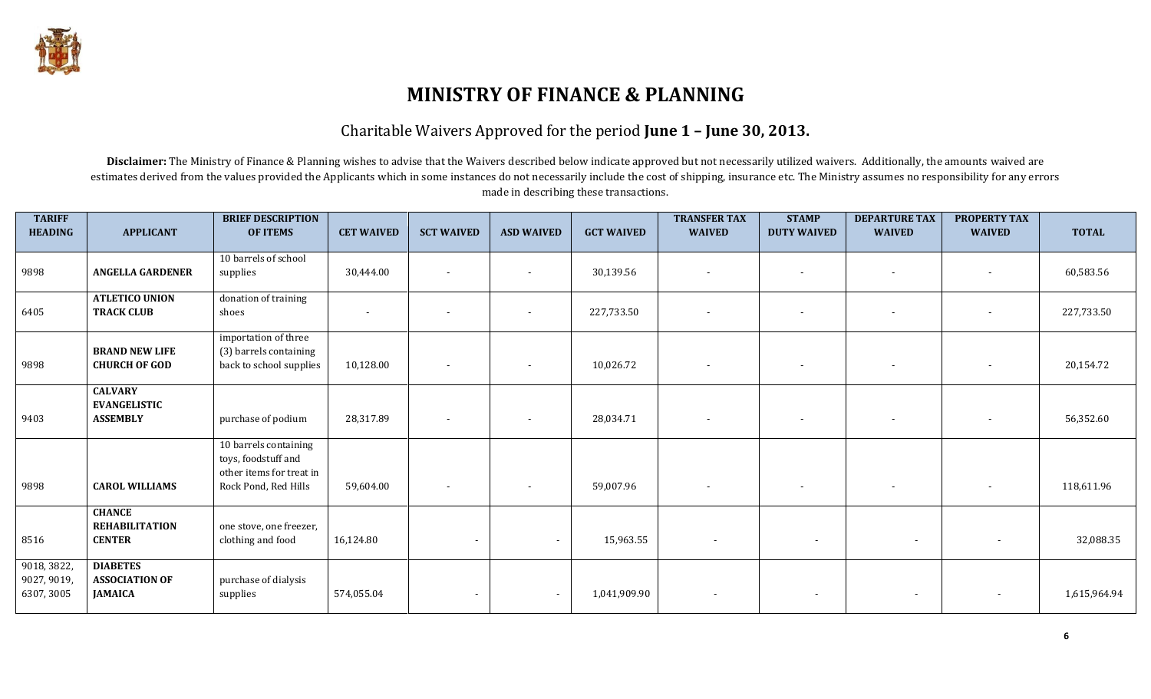

### Charitable Waivers Approved for the period **June 1 – June 30, 2013.**

Disclaimer: The Ministry of Finance & Planning wishes to advise that the Waivers described below indicate approved but not necessarily utilized waivers. Additionally, the amounts waived are estimates derived from the values provided the Applicants which in some instances do not necessarily include the cost of shipping, insurance etc. The Ministry assumes no responsibility for any errors made in describing these transactions.

| <b>TARIFF</b><br><b>HEADING</b>          | <b>APPLICANT</b>                                           | <b>BRIEF DESCRIPTION</b><br><b>OF ITEMS</b>                                                      | <b>CET WAIVED</b>        | <b>SCT WAIVED</b>        | <b>ASD WAIVED</b>        | <b>GCT WAIVED</b> | <b>TRANSFER TAX</b><br><b>WAIVED</b> | <b>STAMP</b><br><b>DUTY WAIVED</b> | <b>DEPARTURE TAX</b><br><b>WAIVED</b> | <b>PROPERTY TAX</b><br><b>WAIVED</b> | <b>TOTAL</b> |
|------------------------------------------|------------------------------------------------------------|--------------------------------------------------------------------------------------------------|--------------------------|--------------------------|--------------------------|-------------------|--------------------------------------|------------------------------------|---------------------------------------|--------------------------------------|--------------|
| 9898                                     | <b>ANGELLA GARDENER</b>                                    | 10 barrels of school<br>supplies                                                                 | 30,444.00                | $\sim$                   | $\overline{\phantom{a}}$ | 30,139.56         | $\overline{\phantom{a}}$             | $\overline{\phantom{a}}$           | $\sim$                                |                                      | 60,583.56    |
| 6405                                     | <b>ATLETICO UNION</b><br><b>TRACK CLUB</b>                 | donation of training<br>shoes                                                                    | $\overline{\phantom{a}}$ |                          |                          | 227,733.50        |                                      | $\overline{\phantom{a}}$           |                                       |                                      | 227,733.50   |
| 9898                                     | <b>BRAND NEW LIFE</b><br><b>CHURCH OF GOD</b>              | importation of three<br>(3) barrels containing<br>back to school supplies                        | 10,128.00                |                          | $\overline{\phantom{a}}$ | 10,026.72         | $\overline{\phantom{a}}$             | $\overline{\phantom{a}}$           | $\sim$                                |                                      | 20,154.72    |
| 9403                                     | <b>CALVARY</b><br><b>EVANGELISTIC</b><br><b>ASSEMBLY</b>   | purchase of podium                                                                               | 28,317.89                | $\overline{\phantom{0}}$ | $\sim$                   | 28,034.71         | $\overline{\phantom{a}}$             | $\sim$                             | $\sim$                                | $\overline{\phantom{a}}$             | 56,352.60    |
| 9898                                     | <b>CAROL WILLIAMS</b>                                      | 10 barrels containing<br>toys, foodstuff and<br>other items for treat in<br>Rock Pond, Red Hills | 59,604.00                |                          | $\overline{\phantom{a}}$ | 59,007.96         | $\overline{\phantom{a}}$             | $\overline{\phantom{a}}$           |                                       | $\overline{\phantom{a}}$             | 118,611.96   |
| 8516                                     | <b>CHANCE</b><br><b>REHABILITATION</b><br><b>CENTER</b>    | one stove, one freezer,<br>clothing and food                                                     | 16,124.80                |                          | $\blacksquare$           | 15,963.55         | $\overline{\phantom{a}}$             | $\sim$                             | $\overline{\phantom{a}}$              | $\blacksquare$                       | 32,088.35    |
| 9018, 3822,<br>9027, 9019,<br>6307, 3005 | <b>DIABETES</b><br><b>ASSOCIATION OF</b><br><b>JAMAICA</b> | purchase of dialysis<br>supplies                                                                 | 574,055.04               |                          | $\blacksquare$           | 1,041,909.90      | $\blacksquare$                       | $\sim$                             | $\overline{\phantom{a}}$              | $\overline{\phantom{a}}$             | 1,615,964.94 |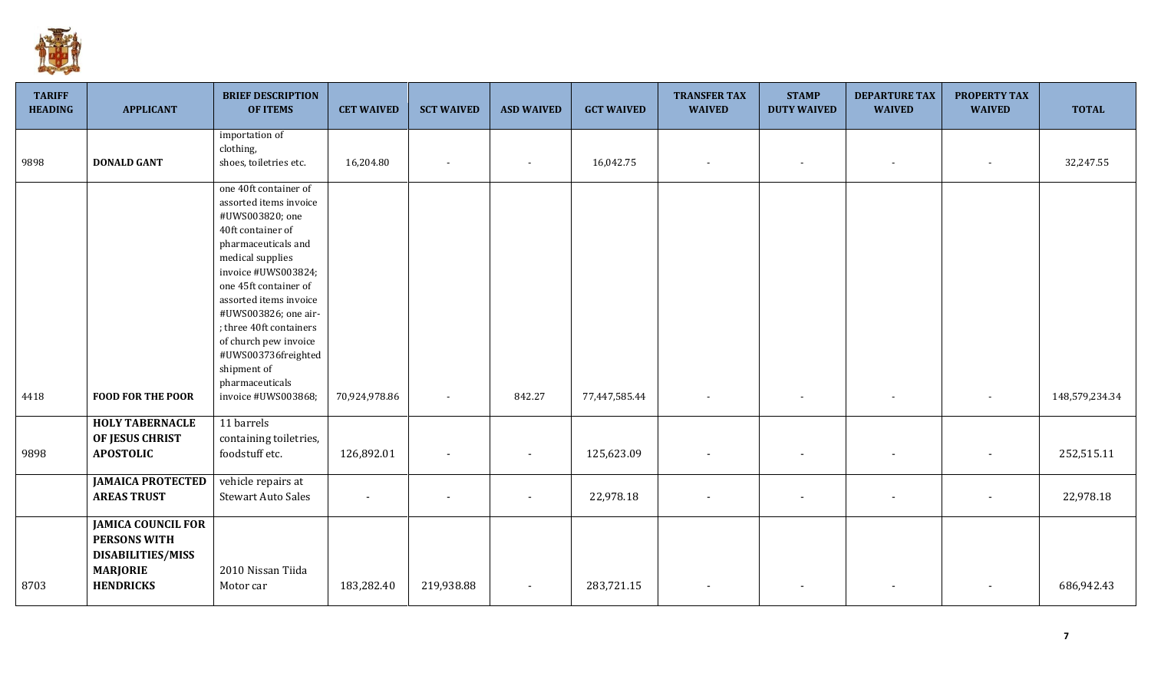

| <b>TARIFF</b><br><b>HEADING</b> | <b>APPLICANT</b>                                                                                                    | <b>BRIEF DESCRIPTION</b><br><b>OF ITEMS</b>                                                                                                                                                                                                                                                                                                                              | <b>CET WAIVED</b> | <b>SCT WAIVED</b> | <b>ASD WAIVED</b>        | <b>GCT WAIVED</b> | <b>TRANSFER TAX</b><br><b>WAIVED</b> | <b>STAMP</b><br><b>DUTY WAIVED</b> | <b>DEPARTURE TAX</b><br><b>WAIVED</b> | <b>PROPERTY TAX</b><br><b>WAIVED</b> | <b>TOTAL</b>   |
|---------------------------------|---------------------------------------------------------------------------------------------------------------------|--------------------------------------------------------------------------------------------------------------------------------------------------------------------------------------------------------------------------------------------------------------------------------------------------------------------------------------------------------------------------|-------------------|-------------------|--------------------------|-------------------|--------------------------------------|------------------------------------|---------------------------------------|--------------------------------------|----------------|
| 9898                            | <b>DONALD GANT</b>                                                                                                  | importation of<br>clothing,<br>shoes, toiletries etc.                                                                                                                                                                                                                                                                                                                    | 16,204.80         |                   |                          | 16,042.75         |                                      | $\overline{\phantom{a}}$           | $\overline{\phantom{a}}$              | $\overline{\phantom{a}}$             | 32,247.55      |
| 4418                            | <b>FOOD FOR THE POOR</b>                                                                                            | one 40ft container of<br>assorted items invoice<br>#UWS003820; one<br>40ft container of<br>pharmaceuticals and<br>medical supplies<br>invoice #UWS003824;<br>one 45ft container of<br>assorted items invoice<br>#UWS003826; one air-<br>; three 40ft containers<br>of church pew invoice<br>#UWS003736freighted<br>shipment of<br>pharmaceuticals<br>invoice #UWS003868; | 70,924,978.86     |                   | 842.27                   | 77,447,585.44     |                                      |                                    |                                       |                                      | 148,579,234.34 |
| 9898                            | <b>HOLY TABERNACLE</b><br>OF JESUS CHRIST<br><b>APOSTOLIC</b>                                                       | 11 barrels<br>containing toiletries,<br>foodstuff etc.                                                                                                                                                                                                                                                                                                                   | 126,892.01        | $\sim$            | $\blacksquare$           | 125,623.09        |                                      |                                    |                                       | $\overline{\phantom{a}}$             | 252,515.11     |
|                                 | <b>JAMAICA PROTECTED</b><br><b>AREAS TRUST</b>                                                                      | vehicle repairs at<br><b>Stewart Auto Sales</b>                                                                                                                                                                                                                                                                                                                          |                   |                   |                          | 22,978.18         | $\overline{\phantom{a}}$             |                                    | $\overline{\phantom{a}}$              | $\overline{\phantom{a}}$             | 22,978.18      |
| 8703                            | <b>JAMICA COUNCIL FOR</b><br><b>PERSONS WITH</b><br><b>DISABILITIES/MISS</b><br><b>MARJORIE</b><br><b>HENDRICKS</b> | 2010 Nissan Tiida<br>Motor car                                                                                                                                                                                                                                                                                                                                           | 183,282.40        | 219,938.88        | $\overline{\phantom{a}}$ | 283,721.15        |                                      |                                    |                                       |                                      | 686,942.43     |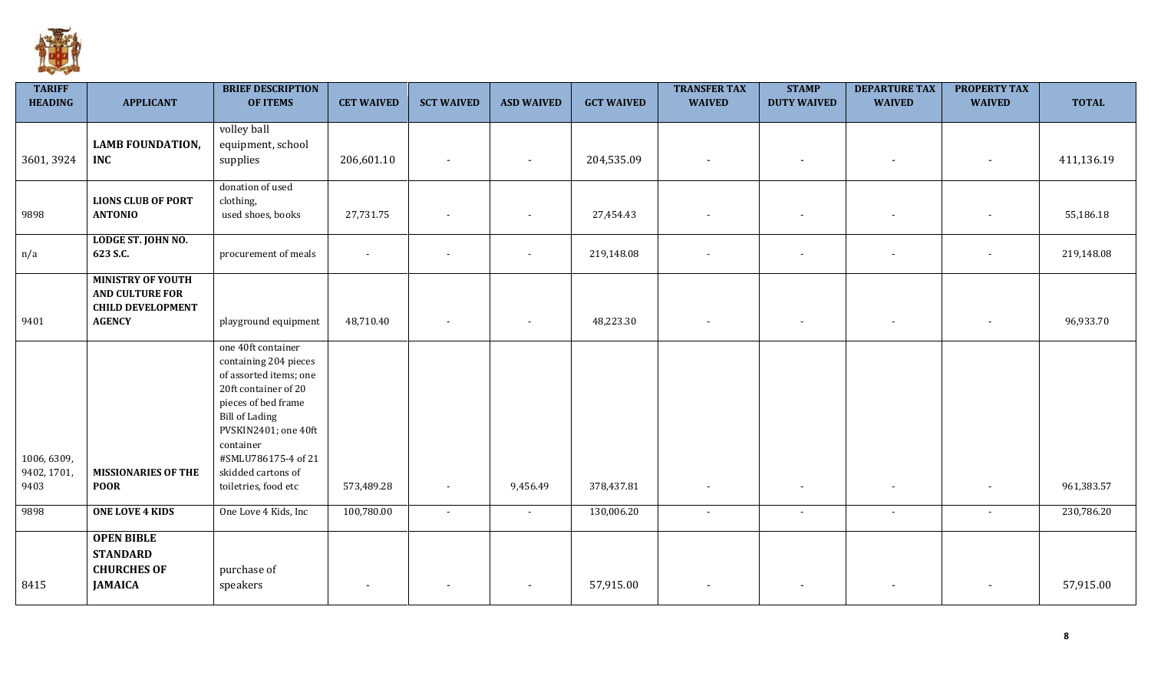

| <b>TARIFF</b><br><b>HEADING</b>    | <b>APPLICANT</b>                                                                                | <b>BRIEF DESCRIPTION</b><br><b>OF ITEMS</b>                                                                                                                                                                                                             | <b>CET WAIVED</b>        | <b>SCT WAIVED</b>        | <b>ASD WAIVED</b> | <b>GCT WAIVED</b> | <b>TRANSFER TAX</b><br><b>WAIVED</b> | <b>STAMP</b><br><b>DUTY WAIVED</b> | <b>DEPARTURE TAX</b><br><b>WAIVED</b> | <b>PROPERTY TAX</b><br><b>WAIVED</b> | <b>TOTAL</b> |
|------------------------------------|-------------------------------------------------------------------------------------------------|---------------------------------------------------------------------------------------------------------------------------------------------------------------------------------------------------------------------------------------------------------|--------------------------|--------------------------|-------------------|-------------------|--------------------------------------|------------------------------------|---------------------------------------|--------------------------------------|--------------|
| 3601, 3924                         | <b>LAMB FOUNDATION,</b><br><b>INC</b>                                                           | volley ball<br>equipment, school<br>supplies                                                                                                                                                                                                            | 206,601.10               |                          | $\blacksquare$    | 204,535.09        |                                      |                                    | $\overline{\phantom{a}}$              |                                      | 411,136.19   |
| 9898                               | <b>LIONS CLUB OF PORT</b><br><b>ANTONIO</b>                                                     | donation of used<br>clothing,<br>used shoes, books                                                                                                                                                                                                      | 27,731.75                |                          |                   | 27,454.43         |                                      |                                    |                                       |                                      | 55,186.18    |
| n/a                                | LODGE ST. JOHN NO.<br>623 S.C.                                                                  | procurement of meals                                                                                                                                                                                                                                    | $\overline{\phantom{a}}$ |                          |                   | 219,148.08        |                                      | $\overline{\phantom{a}}$           | $\overline{\phantom{a}}$              | $\overline{\phantom{a}}$             | 219,148.08   |
| 9401                               | <b>MINISTRY OF YOUTH</b><br><b>AND CULTURE FOR</b><br><b>CHILD DEVELOPMENT</b><br><b>AGENCY</b> | playground equipment                                                                                                                                                                                                                                    | 48,710.40                | $\overline{\phantom{a}}$ | $\sim$            | 48,223.30         |                                      | $\overline{\phantom{a}}$           | $\overline{\phantom{a}}$              | $\overline{\phantom{a}}$             | 96,933.70    |
| 1006, 6309,<br>9402, 1701,<br>9403 | <b>MISSIONARIES OF THE</b><br><b>POOR</b>                                                       | one 40ft container<br>containing 204 pieces<br>of assorted items; one<br>20ft container of 20<br>pieces of bed frame<br><b>Bill of Lading</b><br>PVSKIN2401; one 40ft<br>container<br>#SMLU786175-4 of 21<br>skidded cartons of<br>toiletries, food etc | 573,489.28               | $\overline{\phantom{a}}$ | 9,456.49          | 378,437.81        | $\overline{\phantom{a}}$             | $\overline{\phantom{a}}$           | $\overline{\phantom{a}}$              | $\sim$                               | 961,383.57   |
| 9898                               | <b>ONE LOVE 4 KIDS</b>                                                                          | One Love 4 Kids, Inc                                                                                                                                                                                                                                    | 100,780.00               | $\sim$                   | $\sim$            | 130,006.20        | $\sim$                               | $\sim$                             | $\sim$                                | $\blacksquare$                       | 230,786.20   |
| 8415                               | <b>OPEN BIBLE</b><br><b>STANDARD</b><br><b>CHURCHES OF</b><br><b>JAMAICA</b>                    | purchase of<br>speakers                                                                                                                                                                                                                                 | $\blacksquare$           |                          |                   | 57,915.00         |                                      |                                    |                                       |                                      | 57,915.00    |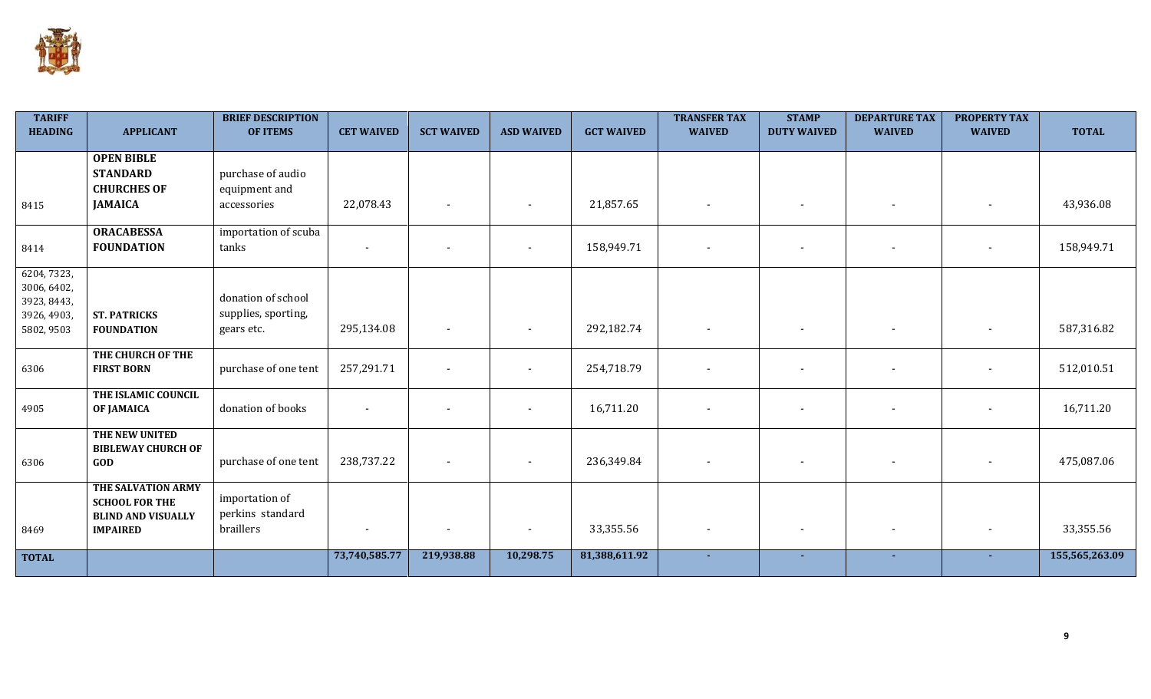

| <b>TARIFF</b><br><b>HEADING</b>                                        | <b>APPLICANT</b>                                                                            | <b>BRIEF DESCRIPTION</b><br><b>OF ITEMS</b>             | <b>CET WAIVED</b>        | <b>SCT WAIVED</b>        | <b>ASD WAIVED</b>        | <b>GCT WAIVED</b> | <b>TRANSFER TAX</b><br><b>WAIVED</b> | <b>STAMP</b><br><b>DUTY WAIVED</b> | <b>DEPARTURE TAX</b><br><b>WAIVED</b> | <b>PROPERTY TAX</b><br><b>WAIVED</b> | <b>TOTAL</b>   |
|------------------------------------------------------------------------|---------------------------------------------------------------------------------------------|---------------------------------------------------------|--------------------------|--------------------------|--------------------------|-------------------|--------------------------------------|------------------------------------|---------------------------------------|--------------------------------------|----------------|
| 8415                                                                   | <b>OPEN BIBLE</b><br><b>STANDARD</b><br><b>CHURCHES OF</b><br><b>JAMAICA</b>                | purchase of audio<br>equipment and<br>accessories       | 22,078.43                | $\blacksquare$           |                          | 21,857.65         | $\blacksquare$                       | $\blacksquare$                     | $\overline{\phantom{a}}$              |                                      | 43,936.08      |
| 8414                                                                   | <b>ORACABESSA</b><br><b>FOUNDATION</b>                                                      | importation of scuba<br>tanks                           | $\overline{\phantom{a}}$ | $\overline{\phantom{a}}$ | $\overline{\phantom{a}}$ | 158,949.71        | $\overline{\phantom{a}}$             | $\overline{\phantom{a}}$           | $\sim$                                |                                      | 158,949.71     |
| 6204, 7323,<br>3006, 6402,<br>3923, 8443,<br>3926, 4903,<br>5802, 9503 | <b>ST. PATRICKS</b><br><b>FOUNDATION</b>                                                    | donation of school<br>supplies, sporting,<br>gears etc. | 295,134.08               |                          |                          | 292,182.74        |                                      | $\blacksquare$                     |                                       |                                      | 587,316.82     |
| 6306                                                                   | THE CHURCH OF THE<br><b>FIRST BORN</b>                                                      | purchase of one tent                                    | 257,291.71               | $\blacksquare$           | $\blacksquare$           | 254,718.79        | $\blacksquare$                       | $\blacksquare$                     | $\overline{\phantom{a}}$              |                                      | 512,010.51     |
| 4905                                                                   | THE ISLAMIC COUNCIL<br><b>OF JAMAICA</b>                                                    | donation of books                                       |                          |                          | $\overline{\phantom{0}}$ | 16,711.20         | $\overline{\phantom{a}}$             | $\overline{\phantom{a}}$           |                                       |                                      | 16,711.20      |
| 6306                                                                   | THE NEW UNITED<br><b>BIBLEWAY CHURCH OF</b><br>GOD                                          | purchase of one tent                                    | 238,737.22               |                          | $\overline{\phantom{a}}$ | 236,349.84        | $\overline{\phantom{a}}$             | $\blacksquare$                     | $\sim$                                |                                      | 475,087.06     |
| 8469                                                                   | THE SALVATION ARMY<br><b>SCHOOL FOR THE</b><br><b>BLIND AND VISUALLY</b><br><b>IMPAIRED</b> | importation of<br>perkins standard<br>braillers         |                          |                          | $\blacksquare$           | 33,355.56         | $\blacksquare$                       | $\overline{\phantom{a}}$           |                                       |                                      | 33,355.56      |
| <b>TOTAL</b>                                                           |                                                                                             |                                                         | 73,740,585.77            | 219,938.88               | 10,298.75                | 81,388,611.92     |                                      |                                    |                                       |                                      | 155,565,263.09 |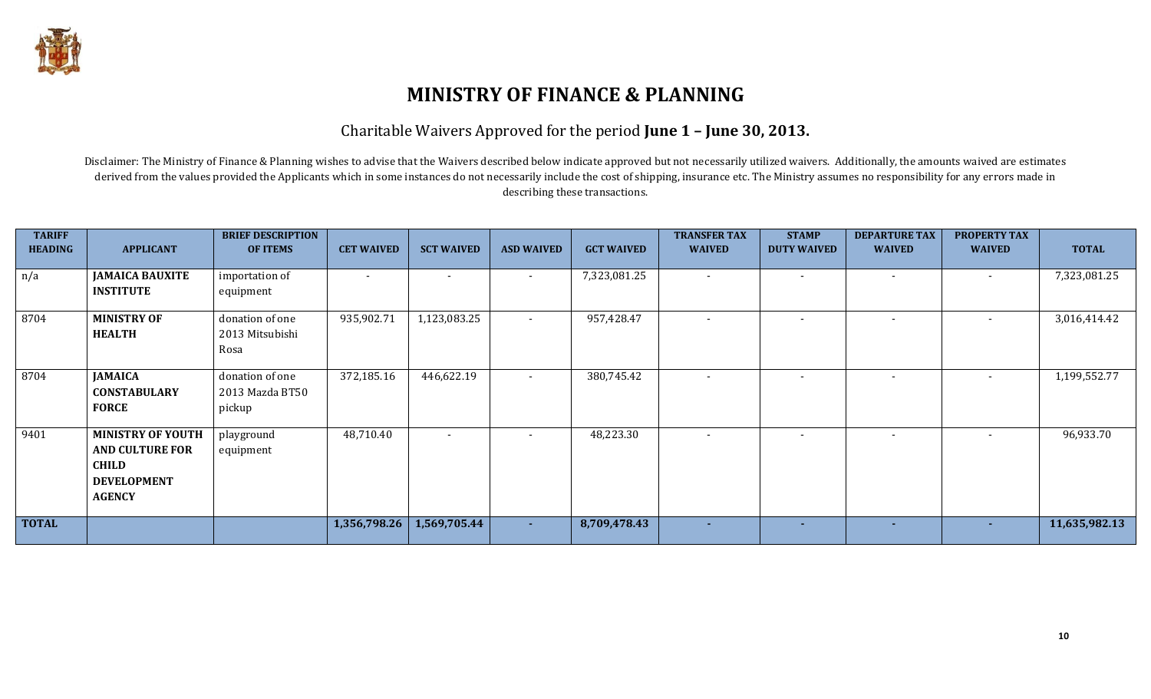

### Charitable Waivers Approved for the period **June 1 – June 30, 2013.**

Disclaimer: The Ministry of Finance & Planning wishes to advise that the Waivers described below indicate approved but not necessarily utilized waivers. Additionally, the amounts waived are estimates derived from the values provided the Applicants which in some instances do not necessarily include the cost of shipping, insurance etc. The Ministry assumes no responsibility for any errors made in describing these transactions.

| <b>TARIFF</b><br><b>HEADING</b> | <b>APPLICANT</b>                                                                                          | <b>BRIEF DESCRIPTION</b><br>OF ITEMS         | <b>CET WAIVED</b> | <b>SCT WAIVED</b>        | <b>ASD WAIVED</b> | <b>GCT WAIVED</b> | <b>TRANSFER TAX</b><br><b>WAIVED</b> | <b>STAMP</b><br><b>DUTY WAIVED</b> | <b>DEPARTURE TAX</b><br><b>WAIVED</b> | <b>PROPERTY TAX</b><br><b>WAIVED</b> | <b>TOTAL</b>  |
|---------------------------------|-----------------------------------------------------------------------------------------------------------|----------------------------------------------|-------------------|--------------------------|-------------------|-------------------|--------------------------------------|------------------------------------|---------------------------------------|--------------------------------------|---------------|
| n/a                             | <b>JAMAICA BAUXITE</b><br><b>INSTITUTE</b>                                                                | importation of<br>equipment                  |                   |                          | $\sim$            | 7,323,081.25      | $\overline{\phantom{a}}$             |                                    |                                       |                                      | 7,323,081.25  |
| 8704                            | <b>MINISTRY OF</b><br><b>HEALTH</b>                                                                       | donation of one<br>2013 Mitsubishi<br>Rosa   | 935,902.71        | 1,123,083.25             | $\sim$            | 957,428.47        | $\overline{\phantom{a}}$             | $\overline{\phantom{a}}$           |                                       | $\sim$                               | 3,016,414.42  |
| 8704                            | <b>JAMAICA</b><br><b>CONSTABULARY</b><br><b>FORCE</b>                                                     | donation of one<br>2013 Mazda BT50<br>pickup | 372,185.16        | 446,622.19               | $\sim$            | 380,745.42        |                                      |                                    |                                       |                                      | 1,199,552.77  |
| 9401                            | <b>MINISTRY OF YOUTH</b><br><b>AND CULTURE FOR</b><br><b>CHILD</b><br><b>DEVELOPMENT</b><br><b>AGENCY</b> | playground<br>equipment                      | 48,710.40         | $\overline{\phantom{0}}$ | $\sim$            | 48,223.30         |                                      | $\overline{\phantom{a}}$           | $\overline{\phantom{0}}$              |                                      | 96,933.70     |
| <b>TOTAL</b>                    |                                                                                                           |                                              | 1,356,798.26      | 1,569,705.44             | $\sim 10$         | 8,709,478.43      | ÷                                    | ж.                                 | $\sim$                                | $\sim$                               | 11,635,982.13 |